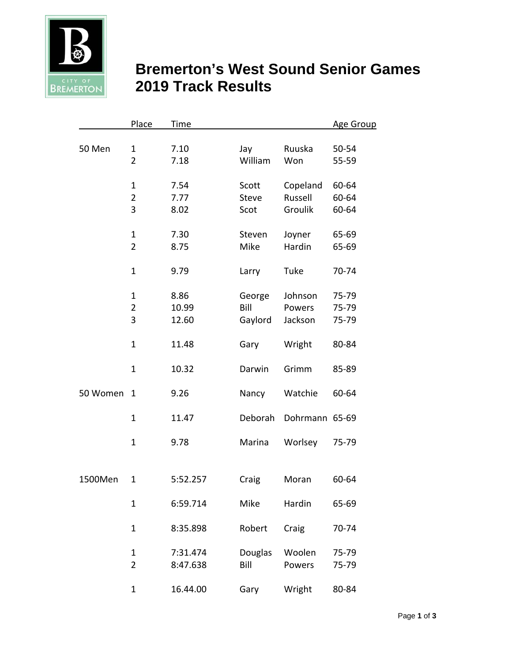

## **Bremerton's West Sound Senior Games BREMERTON** 2019 Track Results

|          | Place          | Time     |              |                | <b>Age Group</b> |
|----------|----------------|----------|--------------|----------------|------------------|
| 50 Men   | $\mathbf{1}$   | 7.10     | Jay          | Ruuska         | 50-54            |
|          | $\overline{2}$ | 7.18     | William      | Won            | 55-59            |
|          | $\mathbf{1}$   | 7.54     | Scott        | Copeland       | 60-64            |
|          | $\overline{2}$ | 7.77     | <b>Steve</b> | Russell        | 60-64            |
|          | 3              | 8.02     | Scot         | Groulik        | 60-64            |
|          | $\mathbf{1}$   | 7.30     | Steven       | Joyner         | 65-69            |
|          | $\overline{2}$ | 8.75     | Mike         | Hardin         | 65-69            |
|          | $\mathbf{1}$   | 9.79     | Larry        | Tuke           | 70-74            |
|          | $\mathbf{1}$   | 8.86     | George       | Johnson        | 75-79            |
|          | $\overline{2}$ | 10.99    | Bill         | Powers         | 75-79            |
|          | 3              | 12.60    | Gaylord      | Jackson        | 75-79            |
|          | $\mathbf{1}$   | 11.48    | Gary         | Wright         | 80-84            |
|          | $\mathbf{1}$   | 10.32    | Darwin       | Grimm          | 85-89            |
| 50 Women | $\mathbf{1}$   | 9.26     | Nancy        | Watchie        | 60-64            |
|          | $\mathbf{1}$   | 11.47    | Deborah      | Dohrmann 65-69 |                  |
|          | $\mathbf{1}$   | 9.78     | Marina       | Worlsey        | 75-79            |
|          |                |          |              |                |                  |
| 1500Men  | $\mathbf{1}$   | 5:52.257 | Craig        | Moran          | 60-64            |
|          | $\mathbf{1}$   | 6:59.714 | Mike         | Hardin         | 65-69            |
|          | $\mathbf{1}$   | 8:35.898 | Robert       | Craig          | 70-74            |
|          | $\mathbf{1}$   | 7:31.474 | Douglas      | Woolen         | 75-79            |
|          | $\overline{2}$ | 8:47.638 | Bill         | Powers         | 75-79            |
|          | $\mathbf{1}$   | 16.44.00 | Gary         | Wright         | 80-84            |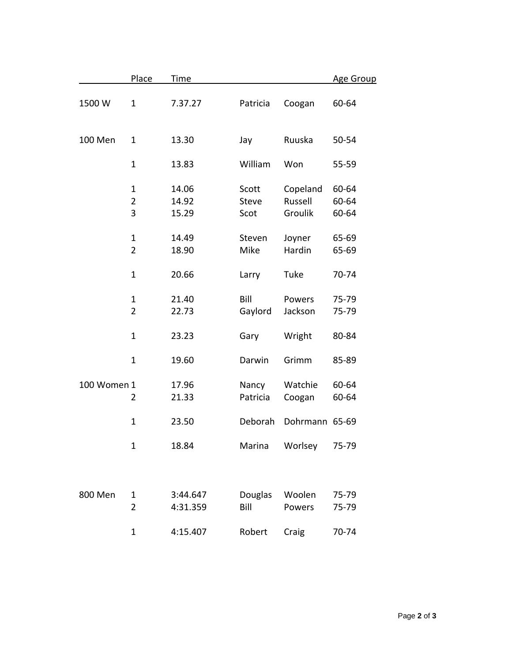|             | Place                          | Time                    |                               |                                | <b>Age Group</b>        |
|-------------|--------------------------------|-------------------------|-------------------------------|--------------------------------|-------------------------|
| 1500W       | $\mathbf{1}$                   | 7.37.27                 | Patricia                      | Coogan                         | 60-64                   |
| 100 Men     | 1                              | 13.30                   | Jay                           | Ruuska                         | 50-54                   |
|             | $\mathbf{1}$                   | 13.83                   | William                       | Won                            | 55-59                   |
|             | $\mathbf{1}$<br>2<br>3         | 14.06<br>14.92<br>15.29 | Scott<br><b>Steve</b><br>Scot | Copeland<br>Russell<br>Groulik | 60-64<br>60-64<br>60-64 |
|             | $\mathbf{1}$<br>$\overline{2}$ | 14.49<br>18.90          | Steven<br>Mike                | Joyner<br>Hardin               | 65-69<br>65-69          |
|             | $\mathbf{1}$                   | 20.66                   | Larry                         | Tuke                           | 70-74                   |
|             | $\mathbf{1}$<br>$\overline{2}$ | 21.40<br>22.73          | Bill<br>Gaylord               | Powers<br>Jackson              | 75-79<br>75-79          |
|             | $\mathbf{1}$                   | 23.23                   | Gary                          | Wright                         | 80-84                   |
|             | $\mathbf{1}$                   | 19.60                   | Darwin                        | Grimm                          | 85-89                   |
| 100 Women 1 | 2                              | 17.96<br>21.33          | Nancy<br>Patricia             | Watchie<br>Coogan              | 60-64<br>60-64          |
|             | $\mathbf{1}$                   | 23.50                   | Deborah                       | Dohrmann 65-69                 |                         |
|             | 1                              | 18.84                   | Marina                        | Worlsey                        | 75-79                   |
|             |                                |                         |                               |                                |                         |
| 800 Men     | 1<br>$\overline{2}$            | 3:44.647<br>4:31.359    | Douglas<br>Bill               | Woolen<br>Powers               | 75-79<br>75-79          |
|             | $\mathbf{1}$                   | 4:15.407                | Robert                        | Craig                          | 70-74                   |